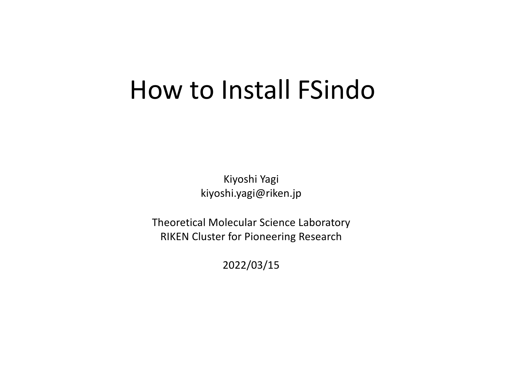## How to Install FSindo

Kiyoshi Yagi kiyoshi.yagi@riken.jp

Theoretical Molecular Science Laboratory RIKEN Cluster for Pioneering Research

2022/03/15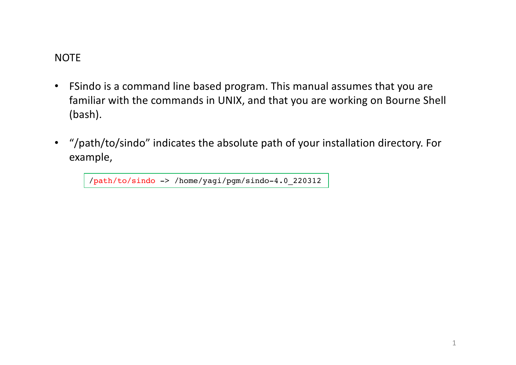## **NOTE**

- FSindo is a command line based program. This manual assumes that you are familiar with the commands in UNIX, and that you are working on Bourne Shell (bash).
- "/path/to/sindo" indicates the absolute path of your installation directory. For example,

/path/to/sindo -> /home/yagi/pgm/sindo-4.0\_220312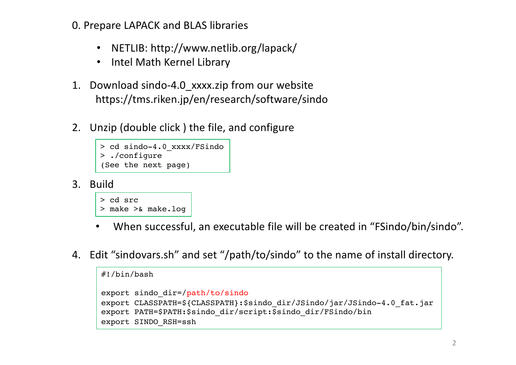- 0. Prepare LAPACK and BLAS libraries
	- NETLIB: http://www.netlib.org/lapack/
	- Intel Math Kernel Library
- 1. Download sindo-4.0\_xxxx.zip from our website https://tms.riken.jp/en/research/software/sindo
- 2. Unzip (double click ) the file, and configure

```
> cd sindo-4.0_xxxx/FSindo
> ./configure
(See the next page)
```
3. Build

```
> cd src
> make >& make.log
```
- When successful, an executable file will be created in "FSindo/bin/sindo".
- 4. Edit "sindovars.sh" and set "/path/to/sindo" to the name of install directory.

```
#!/bin/bash
export sindo_dir=/path/to/sindo
export CLASSPATH=${CLASSPATH}:$sindo dir/JSindo/jar/JSindo-4.0 fat.jar
export PATH=$PATH:$sindo_dir/script:$sindo_dir/FSindo/bin
export SINDO_RSH=ssh
```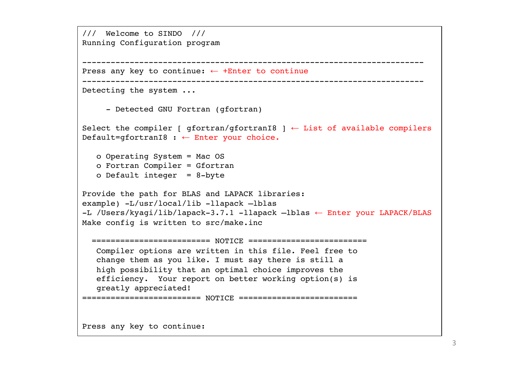```
/// Welcome to SINDO /// 
Running Configuration program
                                ------------------------------------------------------------------------
Press any key to continue: \leftarrow +Enter to continue
------------------------------------------------------------------------
Detecting the system ...
     - Detected GNU Fortran (gfortran)
Select the compiler [ qfortran/qfortranI8 ] \leftarrow List of available compilers
Default=gfortranI8 : ← Enter your choice.
   o Operating System = Mac OS
   o Fortran Compiler = Gfortran
   o Default integer = 8-byte
Provide the path for BLAS and LAPACK libraries:
example) -L/usr/local/lib -llapack -lblas
-L /Users/kyagi/lib/lapack-3.7.1 -llapack –lblas ← Enter your LAPACK/BLAS
Make config is written to src/make.inc
  ========================= NOTICE =========================
   Compiler options are written in this file. Feel free to
   change them as you like. I must say there is still a
   high possibility that an optimal choice improves the
   efficiency. Your report on better working option(s) is
   greatly appreciated! 
========================= NOTICE =========================
Press any key to continue:
```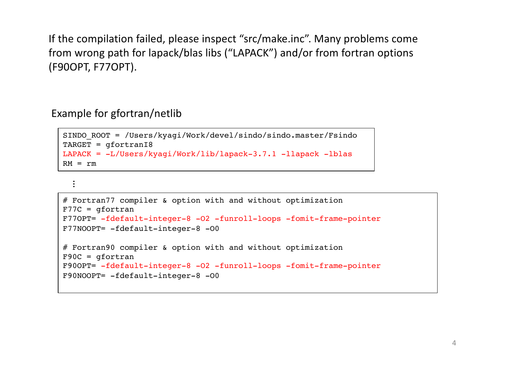If the compilation failed, please inspect "src/make.inc". Many problems come from wrong path for lapack/blas libs ("LAPACK") and/or from fortran options (F90OPT, F77OPT).

Example for gfortran/netlib

```
SINDO_ROOT = /Users/kyagi/Work/devel/sindo/sindo.master/Fsindo
TARGET = gfortranI8 
LAPACK = -L/Users/kyagi/Work/lib/lapack-3.7.1 -llapack -lblas
RM = rm
```
…

```
# Fortran77 compiler & option with and without optimization 
F77C = qfortranF77OPT= -fdefault-integer-8 -O2 -funroll-loops -fomit-frame-pointer
F77NOOPT= -fdefault-integer-8 -O0
# Fortran90 compiler & option with and without optimization 
F90C = qfortranF90OPT= -fdefault-integer-8 -O2 -funroll-loops -fomit-frame-pointer
F90NOOPT= -fdefault-integer-8 -O0
```